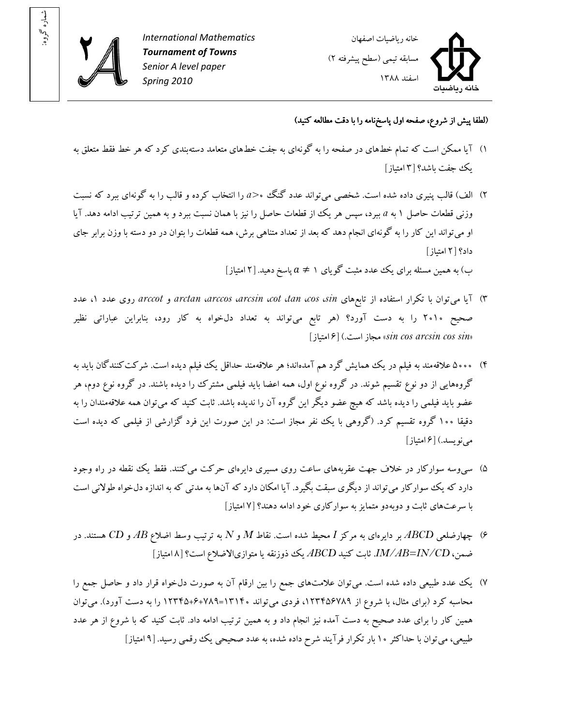

: شماره گروه



(لطفا پيش از شروع، صفحه اول پاسخ نامه را با دقت مطالعه کنيد)

- ۱) آيا ممکن است که تمام خط هاى در صفحه را به گونهاى به جفت خط هاى متعامد دستهبندى کرد که هر خط فقط متعلق به يک جفت باشد ۳[؟ امتياز ]
- )۲ الف) قالب پنيري داده شده است. شخصي ميتواند عدد گنگ ۰ *<a* را انتخاب کرده و قالب را به گونهاي ببرد که نسبت وزني قطعات حاصل به ۱ *a* ببرد، سپس هر يک از قطعات حاصل را نيز با همان نسبت ببرد و به همين ترتيب ادامه دهد. آيا او مي تواند اين کار را به گونهاي انجام دهد که بعد از تعداد متناهي برش، همه قطعات را بتوان در دو دسته با وزن برابر جاي داد؟ ۲[ امتياز]

ب) به همین مسئله برای یک عدد مثبت گویای ۱  $a\neq a$  پاسخ دهید. [۲ امتیاز]

- )۳ يآ ا م ي يها توان با تکرار استفاده از تابع *sin*، *cos*، *tan*، *cot*، *arcsin*، *arccos*، *arctan* و *arccot* روي عدد ۱، عدد صحيح ۲۰۱۰ را به دست آورد؟ (هر تابع میتواند به تعداد دلخواه به کار رود، بنابراين عباراتی نظير [امتياز[ ۶) .است مجاز» *sin cos arcsin cos sin*»
- )۴ ۵۰۰۰ علاقهمند به فيلم در يک همايش گرد هم آمدهاند؛ هر علاقهمند حداقل يک فيلم ديده است . شرکتکنندگان بايد به گروههايي از دو نوع تقسيم شوند. در گروه نوع اول، همه اعضا بايد فيلمي مشترک را ديده باشند. در گروه نوع دوم، هر عضو بايد فيلمي را ديده باشد که هيچ عضو ديگر اين گروه آن را نديده باشد. ثابت کنيد که مي توان همه علاقهمندان را به دقيقا ۱۰۰ گروه تقسيم کرد. (گروهي با يک نفر مجاز است: در اين صورت اين فرد گزارشي از فيلمي که ديده است مي نويسد.) [۶ امتياز]
- ۵) سي وسه سوارکار در خلاف جهت عقربههاي ساعت روي مسيري دايرهاي حرکت مي کنند. فقط يک نقطه در راه وجود دارد که يک سوارکار مي تواند از ديگري سبقت بگيرد. آيا امکان دارد که آنها به مدتي که به اندازه دلخواه طولاني است با سرعتهاي ثابت و دوبهدو متمايز به سوارکاري خود ادامه دهند؟ ۷[ امتياز]
- )۶ چهارضلع ي *ABCD* بر دا يا رهي به مرکز *I* يمح ط شده است. نقاط *M* و *N* به ترتيب وسط اضلاع *AB* و *CD* هستند. در ضمن، *IM/AB=IN/CD.* ثابت کنيد *ABCD ي*ک ذوزنقه يا متوازيالاضلاع است؟ [٨|متياز]
- ۷) يک عدد طبيعي داده شده است. مي توان علامتهاى جمع را بين ارقام آن به صورت دلخواه قرار داد و حاصل جمع را محاسبه کرد (برای مثال، با شروع از ۱۲۳۴۵۶۷۸۹، فردی می تواند ۱۳۱۴۰=۱۲۸۹+۱۲۳۴۵ را به دست آورد). می توان همين کار را براى عدد صحيح به دست آمده نيز انجام داد و به همين ترتيب ادامه داد. ثابت کنيد که با شروع از هر عدد طبيعي، ميتوان با حداکثر ۱۰ بار تکرار فرآيند شرح داده شده، به عدد صحيحي يک رقمي رسيد. [۹ امتياز]